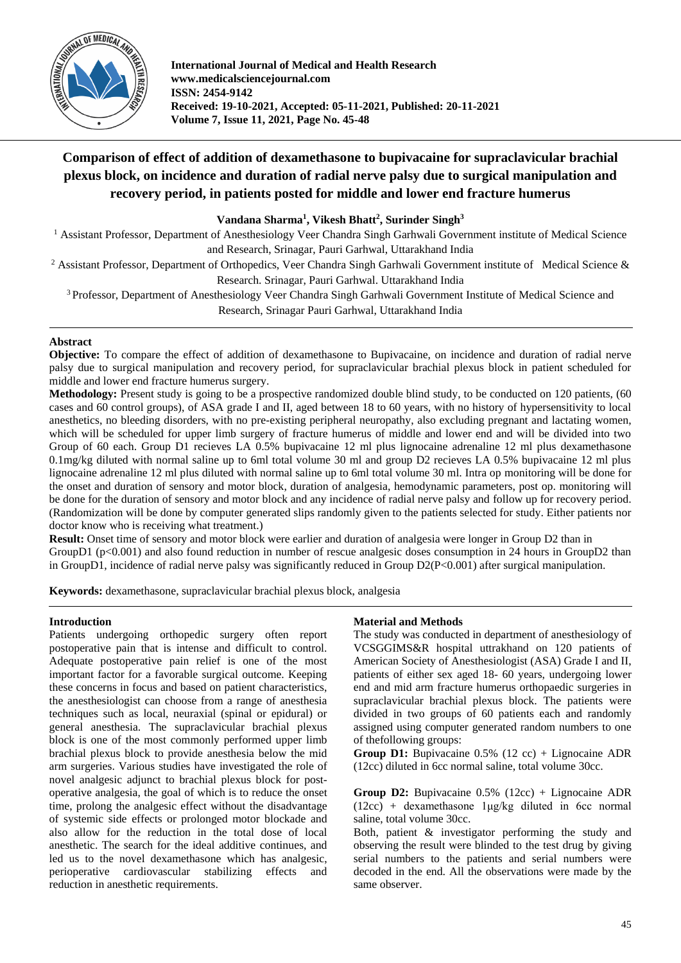

**International Journal of Medical and Health Research www.medicalsciencejournal.com ISSN: 2454-9142 Received: 19-10-2021, Accepted: 05-11-2021, Published: 20-11-2021 Volume 7, Issue 11, 2021, Page No. 45-48**

# **Comparison of effect of addition of dexamethasone to bupivacaine for supraclavicular brachial plexus block, on incidence and duration of radial nerve palsy due to surgical manipulation and recovery period, in patients posted for middle and lower end fracture humerus**

# **Vandana Sharma<sup>1</sup> , Vikesh Bhatt<sup>2</sup> , Surinder Singh<sup>3</sup>**

<sup>1</sup> Assistant Professor, Department of Anesthesiology Veer Chandra Singh Garhwali Government institute of Medical Science and Research, Srinagar, Pauri Garhwal, Uttarakhand India

<sup>2</sup> Assistant Professor, Department of Orthopedics, Veer Chandra Singh Garhwali Government institute of Medical Science & Research. Srinagar, Pauri Garhwal. Uttarakhand India

<sup>3</sup> Professor, Department of Anesthesiology Veer Chandra Singh Garhwali Government Institute of Medical Science and Research, Srinagar Pauri Garhwal, Uttarakhand India

# **Abstract**

**Objective:** To compare the effect of addition of dexamethasone to Bupivacaine, on incidence and duration of radial nerve palsy due to surgical manipulation and recovery period, for supraclavicular brachial plexus block in patient scheduled for middle and lower end fracture humerus surgery.

**Methodology:** Present study is going to be a prospective randomized double blind study, to be conducted on 120 patients, (60 cases and 60 control groups), of ASA grade I and II, aged between 18 to 60 years, with no history of hypersensitivity to local anesthetics, no bleeding disorders, with no pre-existing peripheral neuropathy, also excluding pregnant and lactating women, which will be scheduled for upper limb surgery of fracture humerus of middle and lower end and will be divided into two Group of 60 each. Group D1 recieves LA 0.5% bupivacaine 12 ml plus lignocaine adrenaline 12 ml plus dexamethasone 0.1mg/kg diluted with normal saline up to 6ml total volume 30 ml and group D2 recieves LA 0.5% bupivacaine 12 ml plus lignocaine adrenaline 12 ml plus diluted with normal saline up to 6ml total volume 30 ml. Intra op monitoring will be done for the onset and duration of sensory and motor block, duration of analgesia, hemodynamic parameters, post op. monitoring will be done for the duration of sensory and motor block and any incidence of radial nerve palsy and follow up for recovery period. (Randomization will be done by computer generated slips randomly given to the patients selected for study. Either patients nor doctor know who is receiving what treatment.)

**Result:** Onset time of sensory and motor block were earlier and duration of analgesia were longer in Group D2 than in GroupD1 (p<0.001) and also found reduction in number of rescue analgesic doses consumption in 24 hours in GroupD2 than in GroupD1, incidence of radial nerve palsy was significantly reduced in Group D2(P<0.001) after surgical manipulation.

**Keywords:** dexamethasone, supraclavicular brachial plexus block, analgesia

## **Introduction**

Patients undergoing orthopedic surgery often report postoperative pain that is intense and difficult to control. Adequate postoperative pain relief is one of the most important factor for a favorable surgical outcome. Keeping these concerns in focus and based on patient characteristics, the anesthesiologist can choose from a range of anesthesia techniques such as local, neuraxial (spinal or epidural) or general anesthesia. The supraclavicular brachial plexus block is one of the most commonly performed upper limb brachial plexus block to provide anesthesia below the mid arm surgeries. Various studies have investigated the role of novel analgesic adjunct to brachial plexus block for postoperative analgesia, the goal of which is to reduce the onset time, prolong the analgesic effect without the disadvantage of systemic side effects or prolonged motor blockade and also allow for the reduction in the total dose of local anesthetic. The search for the ideal additive continues, and led us to the novel dexamethasone which has analgesic, perioperative cardiovascular stabilizing effects and reduction in anesthetic requirements.

## **Material and Methods**

The study was conducted in department of anesthesiology of VCSGGIMS&R hospital uttrakhand on 120 patients of American Society of Anesthesiologist (ASA) Grade I and II, patients of either sex aged 18- 60 years, undergoing lower end and mid arm fracture humerus orthopaedic surgeries in supraclavicular brachial plexus block. The patients were divided in two groups of 60 patients each and randomly assigned using computer generated random numbers to one of thefollowing groups:

**Group D1:** Bupivacaine 0.5% (12 cc) + Lignocaine ADR (12cc) diluted in 6cc normal saline, total volume 30cc.

**Group D2:** Bupivacaine 0.5% (12cc) + Lignocaine ADR  $(12cc)$  + dexamethasone 1µg/kg diluted in 6cc normal saline, total volume 30cc.

Both, patient & investigator performing the study and observing the result were blinded to the test drug by giving serial numbers to the patients and serial numbers were decoded in the end. All the observations were made by the same observer.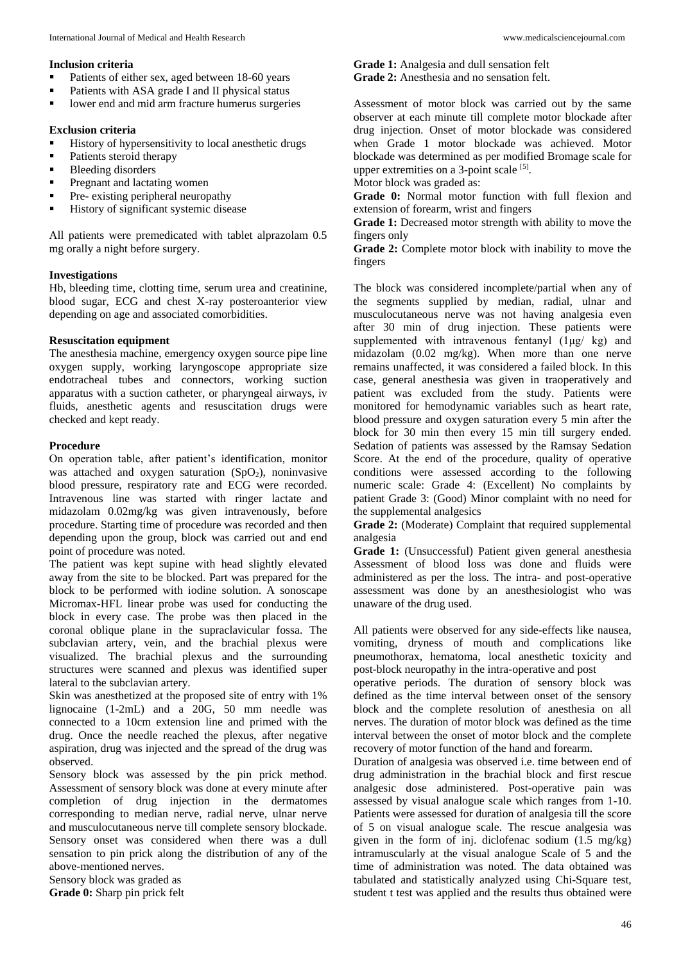### **Inclusion criteria**

- Patients of either sex, aged between 18-60 years
- **Patients with ASA grade I and II physical status**
- **IDE 10.4** lower end and mid arm fracture humerus surgeries

#### **Exclusion criteria**

- **History of hypersensitivity to local anesthetic drugs**
- Patients steroid therapy
- **Bleeding disorders**
- **Pregnant and lactating women**
- **Pre-** existing peripheral neuropathy
- History of significant systemic disease

All patients were premedicated with tablet alprazolam 0.5 mg orally a night before surgery.

## **Investigations**

Hb, bleeding time, clotting time, serum urea and creatinine, blood sugar, ECG and chest X-ray posteroanterior view depending on age and associated comorbidities.

### **Resuscitation equipment**

The anesthesia machine, emergency oxygen source pipe line oxygen supply, working laryngoscope appropriate size endotracheal tubes and connectors, working suction apparatus with a suction catheter, or pharyngeal airways, iv fluids, anesthetic agents and resuscitation drugs were checked and kept ready.

### **Procedure**

On operation table, after patient's identification, monitor was attached and oxygen saturation  $(SpO<sub>2</sub>)$ , noninvasive blood pressure, respiratory rate and ECG were recorded. Intravenous line was started with ringer lactate and midazolam 0.02mg/kg was given intravenously, before procedure. Starting time of procedure was recorded and then depending upon the group, block was carried out and end point of procedure was noted.

The patient was kept supine with head slightly elevated away from the site to be blocked. Part was prepared for the block to be performed with iodine solution. A sonoscape Micromax-HFL linear probe was used for conducting the block in every case. The probe was then placed in the coronal oblique plane in the supraclavicular fossa. The subclavian artery, vein, and the brachial plexus were visualized. The brachial plexus and the surrounding structures were scanned and plexus was identified super lateral to the subclavian artery.

Skin was anesthetized at the proposed site of entry with 1% lignocaine (1-2mL) and a 20G, 50 mm needle was connected to a 10cm extension line and primed with the drug. Once the needle reached the plexus, after negative aspiration, drug was injected and the spread of the drug was observed.

Sensory block was assessed by the pin prick method. Assessment of sensory block was done at every minute after completion of drug injection in the dermatomes corresponding to median nerve, radial nerve, ulnar nerve and musculocutaneous nerve till complete sensory blockade. Sensory onset was considered when there was a dull sensation to pin prick along the distribution of any of the above-mentioned nerves.

Sensory block was graded as

**Grade 0:** Sharp pin prick felt

**Grade 1:** Analgesia and dull sensation felt **Grade 2:** Anesthesia and no sensation felt.

Assessment of motor block was carried out by the same observer at each minute till complete motor blockade after drug injection. Onset of motor blockade was considered when Grade 1 motor blockade was achieved. Motor blockade was determined as per modified Bromage scale for upper extremities on a 3-point scale [5].

Motor block was graded as:

**Grade 0:** Normal motor function with full flexion and extension of forearm, wrist and fingers

**Grade 1:** Decreased motor strength with ability to move the fingers only

**Grade 2:** Complete motor block with inability to move the fingers

The block was considered incomplete/partial when any of the segments supplied by median, radial, ulnar and musculocutaneous nerve was not having analgesia even after 30 min of drug injection. These patients were supplemented with intravenous fentanyl (1μg/ kg) and midazolam (0.02 mg/kg). When more than one nerve remains unaffected, it was considered a failed block. In this case, general anesthesia was given in traoperatively and patient was excluded from the study. Patients were monitored for hemodynamic variables such as heart rate, blood pressure and oxygen saturation every 5 min after the block for 30 min then every 15 min till surgery ended. Sedation of patients was assessed by the Ramsay Sedation Score. At the end of the procedure, quality of operative conditions were assessed according to the following numeric scale: Grade 4: (Excellent) No complaints by patient Grade 3: (Good) Minor complaint with no need for the supplemental analgesics

**Grade 2:** (Moderate) Complaint that required supplemental analgesia

**Grade 1:** (Unsuccessful) Patient given general anesthesia Assessment of blood loss was done and fluids were administered as per the loss. The intra- and post-operative assessment was done by an anesthesiologist who was unaware of the drug used.

All patients were observed for any side-effects like nausea, vomiting, dryness of mouth and complications like pneumothorax, hematoma, local anesthetic toxicity and post-block neuropathy in the intra-operative and post

operative periods. The duration of sensory block was defined as the time interval between onset of the sensory block and the complete resolution of anesthesia on all nerves. The duration of motor block was defined as the time interval between the onset of motor block and the complete recovery of motor function of the hand and forearm.

Duration of analgesia was observed i.e. time between end of drug administration in the brachial block and first rescue analgesic dose administered. Post-operative pain was assessed by visual analogue scale which ranges from 1-10. Patients were assessed for duration of analgesia till the score of 5 on visual analogue scale. The rescue analgesia was given in the form of inj. diclofenac sodium (1.5 mg/kg) intramuscularly at the visual analogue Scale of 5 and the time of administration was noted. The data obtained was tabulated and statistically analyzed using Chi-Square test, student t test was applied and the results thus obtained were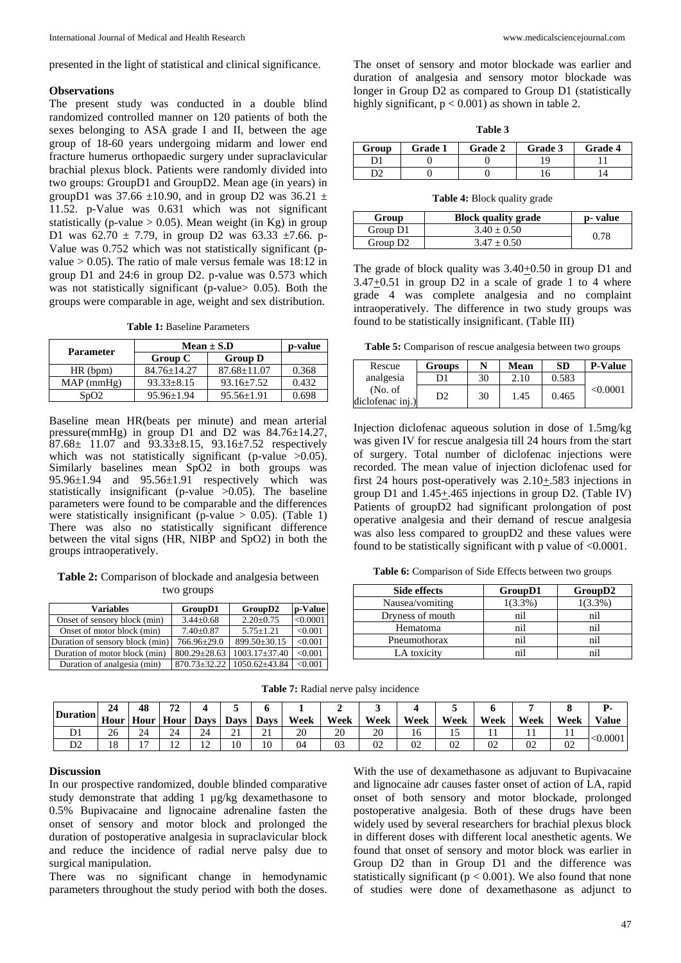presented in the light of statistical and clinical significance.

#### **Observations**

The present study was conducted in a double blind randomized controlled manner on 120 patients of both the sexes belonging to ASA grade I and II, between the age group of 18-60 years undergoing midarm and lower end fracture humerus orthopaedic surgery under supraclavicular brachial plexus block. Patients were randomly divided into two groups: GroupD1 and GroupD2. Mean age (in years) in groupD1 was  $37.66 \pm 10.90$ , and in group D2 was  $36.21 \pm 10.90$ 11.52. p-Value was 0.631 which was not significant statistically (p-value  $> 0.05$ ). Mean weight (in Kg) in group D1 was  $62.70 \pm 7.79$ , in group D2 was  $63.33 \pm 7.66$ . p-Value was 0.752 which was not statistically significant (pvalue  $> 0.05$ ). The ratio of male versus female was 18:12 in group D1 and 24:6 in group D2. p-value was 0.573 which was not statistically significant (p-value > 0.05). Both the groups were comparable in age, weight and sex distribution.

**Table 1:** Baseline Parameters

| <b>Parameter</b>              | $Mean \pm S.D$    | p-value           |       |
|-------------------------------|-------------------|-------------------|-------|
|                               | Group C           | <b>Group D</b>    |       |
| HR(bpm)                       | $84.76 \pm 14.27$ | $87.68 \pm 11.07$ | 0.368 |
| MAP(mmHg)                     | $93.33 + 8.15$    | $93.16 + 7.52$    | 0.432 |
| S <sub>D</sub> O <sub>2</sub> | $95.96 + 1.94$    | $95.56 \pm 1.91$  | 0.698 |

Baseline mean HR(beats per minute) and mean arterial pressure(mmHg) in group D1 and D2 was 84.76±14.27,  $87.68 \pm 11.07$  and  $93.33 \pm 8.15$ ,  $93.16 \pm 7.52$  respectively which was not statistically significant (p-value  $>0.05$ ). Similarly baselines mean SpO2 in both groups was  $95.96\pm1.94$  and  $95.56\pm1.91$  respectively which was statistically insignificant (p-value >0.05). The baseline parameters were found to be comparable and the differences were statistically insignificant (p-value  $> 0.05$ ). (Table 1) There was also no statistically significant difference between the vital signs (HR, NIBP and SpO2) in both the groups intraoperatively.

**Table 2:** Comparison of blockade and analgesia between two groups

| <b>Variables</b>                | Group <sub>D1</sub> | GroupD2             | p-Value  |
|---------------------------------|---------------------|---------------------|----------|
| Onset of sensory block (min)    | $3.44 \pm 0.68$     | $2.20 \pm 0.75$     | < 0.0001 |
| Onset of motor block (min)      | $7.40 \pm 0.87$     | $5.75 + 1.21$       | < 0.001  |
| Duration of sensory block (min) | 766.96±29.0         | 899.50±30.15        | < 0.001  |
| Duration of motor block (min)   | $800.29 \pm 28.63$  | $1003.17 \pm 37.40$ | < 0.001  |
| Duration of analgesia (min)     | $870.73 \pm 32.22$  | $1050.62{\pm}43.84$ | < 0.001  |

The onset of sensory and motor blockade was earlier and duration of analgesia and sensory motor blockade was longer in Group D2 as compared to Group D1 (statistically highly significant,  $p < 0.001$ ) as shown in table 2.

| ını<br>п |  |
|----------|--|
|----------|--|

| Group | Grade 1 | <b>Grade 2</b> | Grade 3 | <b>Grade 4</b> |
|-------|---------|----------------|---------|----------------|
|       |         |                |         |                |
| nາ    |         |                |         |                |

**Table 4:** Block quality grade

| Group                | <b>Block quality grade</b> | p- value |
|----------------------|----------------------------|----------|
| Group D1             | $3.40 \pm 0.50$            | 0.78     |
| Group D <sub>2</sub> | $3.47 + 0.50$              |          |

The grade of block quality was 3.40+0.50 in group D1 and  $3.47 \pm 0.51$  in group D2 in a scale of grade 1 to 4 where grade 4 was complete analgesia and no complaint intraoperatively. The difference in two study groups was found to be statistically insignificant. (Table III)

**Table 5:** Comparison of rescue analgesia between two groups

| Rescue                       | <b>Groups</b> | N  | <b>Mean</b> | <b>SD</b> | <b>P-Value</b> |
|------------------------------|---------------|----|-------------|-----------|----------------|
| analgesia                    | וכ            | 30 | 2.10        | 0.583     |                |
| (No. of)<br>diclofenac inj.) | D2            | 30 | 1.45        | 0.465     | < 0.0001       |

Injection diclofenac aqueous solution in dose of 1.5mg/kg was given IV for rescue analgesia till 24 hours from the start of surgery. Total number of diclofenac injections were recorded. The mean value of injection diclofenac used for first 24 hours post-operatively was  $2.10 \pm .583$  injections in group D1 and 1.45+.465 injections in group D2. (Table IV) Patients of groupD2 had significant prolongation of post operative analgesia and their demand of rescue analgesia was also less compared to groupD2 and these values were found to be statistically significant with p value of  $\leq 0.0001$ .

**Table 6:** Comparison of Side Effects between two groups

| Side effects     | GroupD1   | GroupD2   |
|------------------|-----------|-----------|
| Nausea/vomiting  | $(3.3\%)$ | $(3.3\%)$ |
| Dryness of mouth | nil       | nil       |
| Hematoma         | nil       | nil       |
| Pneumothorax     | nil       | n1        |
| LA toxicity      |           |           |

| Table 7: Radial nerve palsy incidence |  |  |
|---------------------------------------|--|--|
|---------------------------------------|--|--|

| $\frac{1}{2}$ Turation Hour   Live | 24 | 48                       | $\mathbf{a}$<br>∸ |              |             |        |      |      |      |      |      |      |      |      |        |
|------------------------------------|----|--------------------------|-------------------|--------------|-------------|--------|------|------|------|------|------|------|------|------|--------|
|                                    |    | Hour                     | <b>Hour</b>       | <b>Days</b>  | <b>Davs</b> | Davs 1 | Week | Week | Week | Week | Week | Week | Week | Week | Value  |
|                                    | 26 | $\sim$ $\lambda$<br>24   | 24                | $\sim$<br>24 | $\sim$<br>∸ | ∸      | 20   | 20   | 20   | 10   | . .  |      |      | . .  | 0.0001 |
|                                    | 18 | $\overline{\phantom{0}}$ | $\sim$<br>∸       | $\sim$<br>∸  | 10          | 10     | 04   | U3   | 02   | U2   | 02   | UZ   | 02   | 02   |        |

#### **Discussion**

In our prospective randomized, double blinded comparative study demonstrate that adding 1 µg/kg dexamethasone to 0.5% Bupivacaine and lignocaine adrenaline fasten the onset of sensory and motor block and prolonged the duration of postoperative analgesia in supraclavicular block and reduce the incidence of radial nerve palsy due to surgical manipulation.

There was no significant change in hemodynamic parameters throughout the study period with both the doses.

With the use of dexamethasone as adjuvant to Bupivacaine and lignocaine adr causes faster onset of action of LA, rapid onset of both sensory and motor blockade, prolonged postoperative analgesia. Both of these drugs have been widely used by several researchers for brachial plexus block in different doses with different local anesthetic agents. We found that onset of sensory and motor block was earlier in Group D2 than in Group D1 and the difference was statistically significant ( $p < 0.001$ ). We also found that none of studies were done of dexamethasone as adjunct to